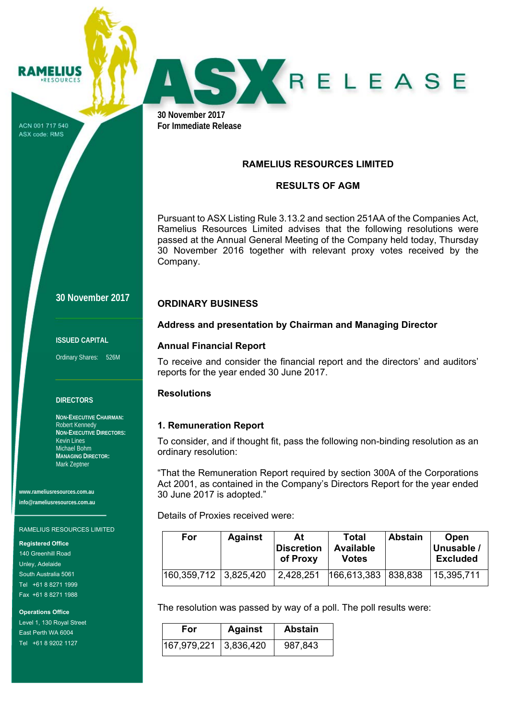ACN 001 717 540 ASX code: RMS

RAMELIUS **RESOURCES** 



**30 November 2017 For Immediate Release** 

### **RAMELIUS RESOURCES LIMITED**

## **RESULTS OF AGM**

Pursuant to ASX Listing Rule 3.13.2 and section 251AA of the Companies Act, Ramelius Resources Limited advises that the following resolutions were passed at the Annual General Meeting of the Company held today, Thursday 30 November 2016 together with relevant proxy votes received by the Company.

# **30 November 2017**

#### **ISSUED CAPITAL**

Ordinary Shares: 526M

#### **DIRECTORS**

**NON-EXECUTIVE CHAIRMAN:**  Robert Kennedy **NON-EXECUTIVE DIRECTORS:**  Kevin Lines Michael Bohm **MANAGING DIRECTOR:**  Mark Zeptner

**www.rameliusresources.com.au info@rameliusresources.com.au** 

#### RAMELIUS RESOURCES LIMITED

**Registered Office** 

140 Greenhill Road Unley, Adelaide South Australia 5061 Tel +61 8 8271 1999 Fax +61 8 8271 1988

**Operations Office** 

Level 1, 130 Royal Street East Perth WA 6004 Tel +61 8 9202 1127

**Address and presentation by Chairman and Managing Director** 

### **Annual Financial Report**

**ORDINARY BUSINESS** 

To receive and consider the financial report and the directors' and auditors' reports for the year ended 30 June 2017.

### **Resolutions**

### **1. Remuneration Report**

To consider, and if thought fit, pass the following non-binding resolution as an ordinary resolution:

"That the Remuneration Report required by section 300A of the Corporations Act 2001, as contained in the Company's Directors Report for the year ended 30 June 2017 is adopted."

Details of Proxies received were:

| For                     | <b>Against</b> | At<br>Discretion<br>of Proxy | Total<br><b>Available</b><br>Votes | <b>Abstain</b> | Open<br>Unusable /<br><b>Excluded</b> |
|-------------------------|----------------|------------------------------|------------------------------------|----------------|---------------------------------------|
| 160,359,712   3,825,420 |                | 2,428,251                    | 166,613,383   838,838              |                | 15,395,711                            |

The resolution was passed by way of a poll. The poll results were:

| For                   | <b>Against</b> | <b>Abstain</b> |
|-----------------------|----------------|----------------|
| 167,979,221 3,836,420 |                | 987,843        |